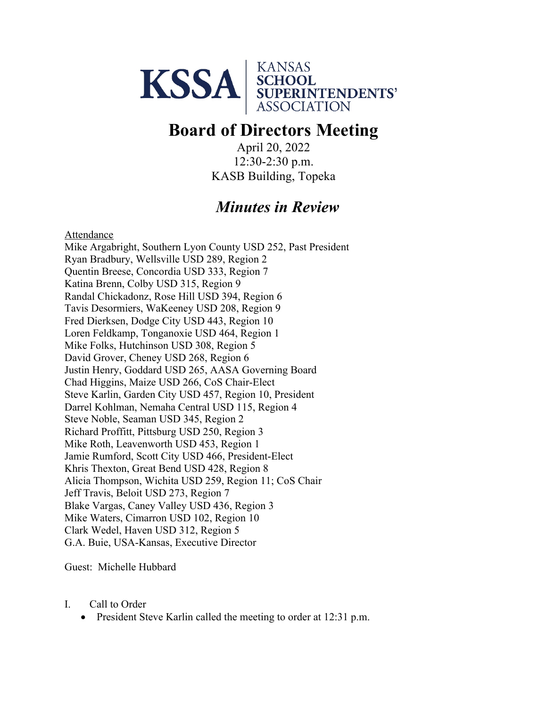

# **Board of Directors Meeting**

April 20, 2022 12:30-2:30 p.m. KASB Building, Topeka

## *Minutes in Review*

Attendance

Mike Argabright, Southern Lyon County USD 252, Past President Ryan Bradbury, Wellsville USD 289, Region 2 Quentin Breese, Concordia USD 333, Region 7 Katina Brenn, Colby USD 315, Region 9 Randal Chickadonz, Rose Hill USD 394, Region 6 Tavis Desormiers, WaKeeney USD 208, Region 9 Fred Dierksen, Dodge City USD 443, Region 10 Loren Feldkamp, Tonganoxie USD 464, Region 1 Mike Folks, Hutchinson USD 308, Region 5 David Grover, Cheney USD 268, Region 6 Justin Henry, Goddard USD 265, AASA Governing Board Chad Higgins, Maize USD 266, CoS Chair-Elect Steve Karlin, Garden City USD 457, Region 10, President Darrel Kohlman, Nemaha Central USD 115, Region 4 Steve Noble, Seaman USD 345, Region 2 Richard Proffitt, Pittsburg USD 250, Region 3 Mike Roth, Leavenworth USD 453, Region 1 Jamie Rumford, Scott City USD 466, President-Elect Khris Thexton, Great Bend USD 428, Region 8 Alicia Thompson, Wichita USD 259, Region 11; CoS Chair Jeff Travis, Beloit USD 273, Region 7 Blake Vargas, Caney Valley USD 436, Region 3 Mike Waters, Cimarron USD 102, Region 10 Clark Wedel, Haven USD 312, Region 5 G.A. Buie, USA-Kansas, Executive Director

Guest: Michelle Hubbard

I. Call to Order

• President Steve Karlin called the meeting to order at 12:31 p.m.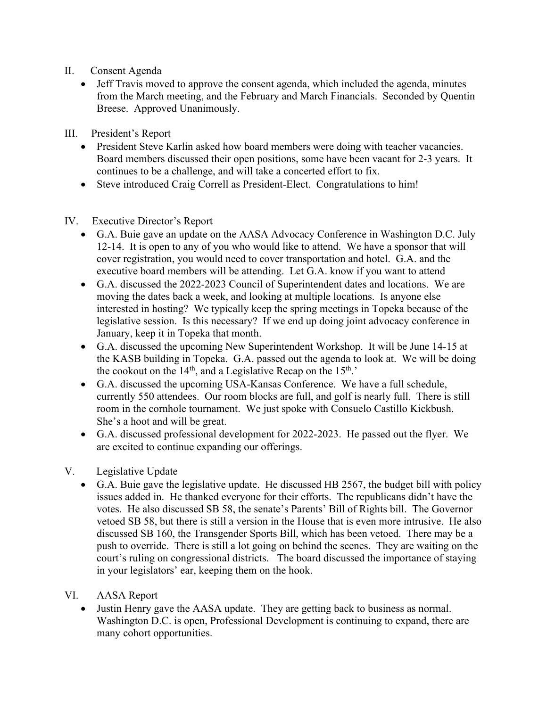### II. Consent Agenda

• Jeff Travis moved to approve the consent agenda, which included the agenda, minutes from the March meeting, and the February and March Financials. Seconded by Quentin Breese. Approved Unanimously.

III. President's Report

- President Steve Karlin asked how board members were doing with teacher vacancies. Board members discussed their open positions, some have been vacant for 2-3 years. It continues to be a challenge, and will take a concerted effort to fix.
- Steve introduced Craig Correll as President-Elect. Congratulations to him!
- IV. Executive Director's Report
	- G.A. Buie gave an update on the AASA Advocacy Conference in Washington D.C. July 12-14. It is open to any of you who would like to attend. We have a sponsor that will cover registration, you would need to cover transportation and hotel. G.A. and the executive board members will be attending. Let G.A. know if you want to attend
	- G.A. discussed the 2022-2023 Council of Superintendent dates and locations. We are moving the dates back a week, and looking at multiple locations. Is anyone else interested in hosting? We typically keep the spring meetings in Topeka because of the legislative session. Is this necessary? If we end up doing joint advocacy conference in January, keep it in Topeka that month.
	- G.A. discussed the upcoming New Superintendent Workshop. It will be June 14-15 at the KASB building in Topeka. G.A. passed out the agenda to look at. We will be doing the cookout on the  $14<sup>th</sup>$ , and a Legislative Recap on the  $15<sup>th</sup>$ .
	- G.A. discussed the upcoming USA-Kansas Conference. We have a full schedule, currently 550 attendees. Our room blocks are full, and golf is nearly full. There is still room in the cornhole tournament. We just spoke with Consuelo Castillo Kickbush. She's a hoot and will be great.
	- G.A. discussed professional development for 2022-2023. He passed out the flyer. We are excited to continue expanding our offerings.

### V. Legislative Update

• G.A. Buie gave the legislative update. He discussed HB 2567, the budget bill with policy issues added in. He thanked everyone for their efforts. The republicans didn't have the votes. He also discussed SB 58, the senate's Parents' Bill of Rights bill. The Governor vetoed SB 58, but there is still a version in the House that is even more intrusive. He also discussed SB 160, the Transgender Sports Bill, which has been vetoed. There may be a push to override. There is still a lot going on behind the scenes. They are waiting on the court's ruling on congressional districts. The board discussed the importance of staying in your legislators' ear, keeping them on the hook.

#### VI. AASA Report

• Justin Henry gave the AASA update. They are getting back to business as normal. Washington D.C. is open, Professional Development is continuing to expand, there are many cohort opportunities.